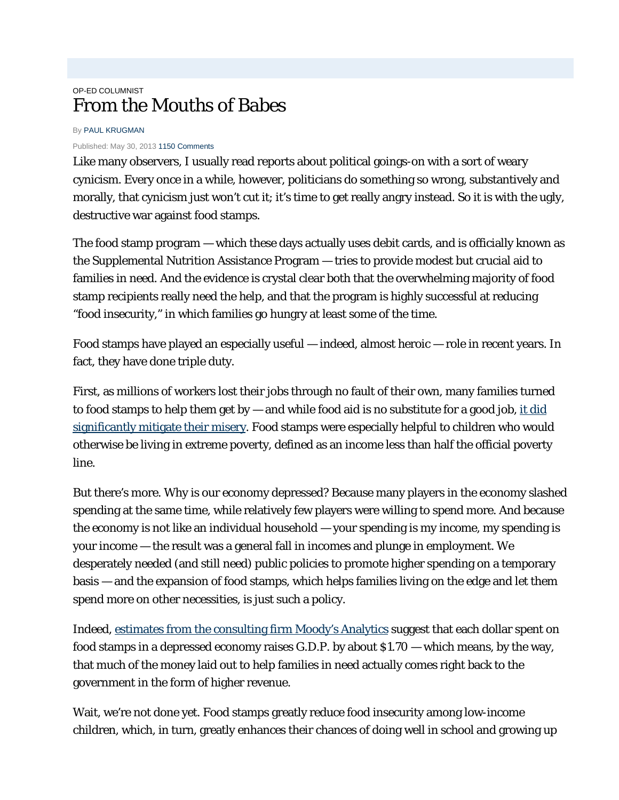## OP-ED COLUMNIST From the Mouths of Babes

## By [PAUL KRUGMAN](http://topics.nytimes.com/top/opinion/editorialsandoped/oped/columnists/paulkrugman/index.html)

## Published: May 30, 201[3 1150 Comments](http://www.nytimes.com/2013/05/31/opinion/from-the-mouths-of-babes.html?_r=0#commentsContainer)

Like many observers, I usually read reports about political goings-on with a sort of weary cynicism. Every once in a while, however, politicians do something so wrong, substantively and morally, that cynicism just won't cut it; it's time to get really angry instead. So it is with the ugly, destructive war against food stamps.

The food stamp program — which these days actually uses debit cards, and is officially known as the Supplemental Nutrition Assistance Program — tries to provide modest but crucial aid to families in need. And the evidence is crystal clear both that the overwhelming majority of food stamp recipients really need the help, and that the program is highly successful at reducing "food insecurity," in which families go hungry at least some of the time.

Food stamps have played an especially useful — indeed, almost heroic — role in recent years. In fact, they have done triple duty.

First, as millions of workers lost their jobs through no fault of their own, many families turned to food stamps to help them get by  $-$  and while food aid is no substitute for a good job, it did [significantly mitigate their misery.](http://www.cbpp.org/cms/?fa=view&id=3744) Food stamps were especially helpful to children who would otherwise be living in extreme poverty, defined as an income less than half the official poverty line.

But there's more. Why is our economy depressed? Because many players in the economy slashed spending at the same time, while relatively few players were willing to spend more. And because the economy is not like an individual household — your spending is my income, my spending is your income — the result was a general fall in incomes and plunge in employment. We desperately needed (and still need) public policies to promote higher spending on a temporary basis — and the expansion of food stamps, which helps families living on the edge and let them spend more on other necessities, is just such a policy.

Indeed, [estimates from the consulting firm Moody's Analytics](http://www.economist.com/node/18958475) suggest that each dollar spent on food stamps in a depressed economy raises G.D.P. by about \$1.70 — which means, by the way, that much of the money laid out to help families in need actually comes right back to the government in the form of higher revenue.

Wait, we're not done yet. Food stamps greatly reduce food insecurity among low-income children, which, in turn, greatly enhances their chances of doing well in school and growing up